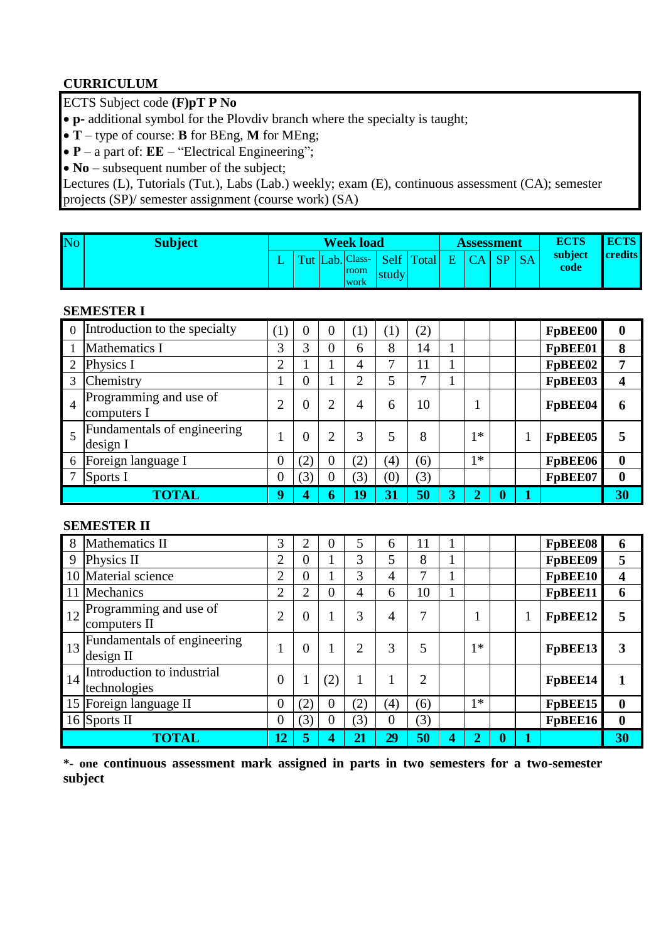## **CURRICULUM**

### ECTS Subject code **(F)pT P No**

- **p-** additional symbol for the Plovdiv branch where the specialty is taught;
- **T** type of course: **B** for BEng, **M** for MEng;
- **P** a part of: **EE** "Electrical Engineering";
- **No** subsequent number of the subject;

Lectures (L), Tutorials (Tut.), Labs (Lab.) weekly; exam (E), continuous assessment (CA); semester projects (SP)/ semester assignment (course work) (SA)

| No | <b>Subject</b> |  | <b>Week load</b>                              |       |            |   | Assessment |    |           | <b>ECTS</b>     | <b>ECTS</b>    |
|----|----------------|--|-----------------------------------------------|-------|------------|---|------------|----|-----------|-----------------|----------------|
|    |                |  | Tut Lab. Class-<br><b>room</b><br><b>WOrk</b> | study | Self Total | Ε | CA         | SP | <b>SA</b> | subject<br>code | <b>credits</b> |

#### **SEMESTER I**

| $\overline{0}$ | Introduction to the specialty           | (1)              | $\overline{0}$ | $\overline{0}$ | (1)            | $\left( 1\right)$ | (2) |                         |                |   | FpBEE00 | $\boldsymbol{0}$ |
|----------------|-----------------------------------------|------------------|----------------|----------------|----------------|-------------------|-----|-------------------------|----------------|---|---------|------------------|
|                | Mathematics I                           | 3                | 3              | $\theta$       | 6              | 8                 | 14  | 1                       |                |   | FpBEE01 | 8                |
|                | Physics I                               | $\overline{2}$   |                |                | 4              | 7                 | 11  |                         |                |   | FpBEE02 | 7                |
| 3              | Chemistry                               |                  | 0              |                | $\overline{2}$ | 5                 | ┑   |                         |                |   | FpBEE03 | 4                |
| $\overline{4}$ | Programming and use of<br>computers I   | $\overline{2}$   | $\overline{0}$ | っ              | 4              | 6                 | 10  |                         |                |   | FpBEE04 | 6                |
| 5              | Fundamentals of engineering<br>design I |                  | $\overline{0}$ |                | 3              | 5                 | 8   |                         | $1*$           | 1 | FpBEE05 |                  |
| 6              | Foreign language I                      | $\overline{0}$   | (2)            | $\theta$       | (2)            | (4)               | (6) |                         | $1*$           |   | FpBEE06 | $\boldsymbol{0}$ |
|                | Sports I                                | $\boldsymbol{0}$ | (3)            |                | (3)            | $\left( 0\right)$ | (3) |                         |                |   | FpBEE07 | $\boldsymbol{0}$ |
|                | <b>TOTAL</b>                            | 9                | 4              | O              | 19             | 31                | 50  | $\overline{\mathbf{3}}$ | $\overline{2}$ | 1 |         | 30               |

#### **SEMESTER II**

| 8  | Mathematics II                              | 3              | $\overline{2}$ |          | 5              | 6   | 11  |   |                |   | FpBEE08 | 6                |
|----|---------------------------------------------|----------------|----------------|----------|----------------|-----|-----|---|----------------|---|---------|------------------|
| 9  | Physics II                                  | $\overline{2}$ | $\theta$       |          | 3              | 5   | 8   |   |                |   | FpBEE09 | 5                |
|    | 10 Material science                         | $\overline{2}$ | $\overline{0}$ |          | 3              | 4   | 7   |   |                |   | FpBEE10 | 4                |
|    | 11 Mechanics                                | $\overline{2}$ | $\overline{2}$ | $\theta$ | 4              | 6   | 10  |   |                |   | FpBEE11 | 6                |
| 12 | Programming and use of<br>computers II      | $\overline{2}$ | $\theta$       |          | 3              | 4   | 7   |   |                |   | FpBEE12 |                  |
|    | 13 Fundamentals of engineering<br>design II |                | $\theta$       |          | $\overline{2}$ | 3   | 5   |   | $1*$           |   | FpBEE13 | 3                |
| 14 | Introduction to industrial<br>technologies  | $\overline{0}$ |                | (2)      | 1              | 1   | 2   |   |                |   | FpBEE14 |                  |
|    | 15 Foreign language II                      | $\overline{0}$ | (2)            |          | (2)            | (4) | (6) |   | $1*$           |   | FpBEE15 | $\boldsymbol{0}$ |
|    | 16 Sports II                                | $\overline{0}$ | (3)            |          | (3)            | 0   | (3) |   |                |   | FpBEE16 | $\boldsymbol{0}$ |
|    | <b>TOTAL</b>                                | 12             | 5              | 4        | 21             | 29  | 50  | 4 | $\overline{2}$ | 0 |         | 30               |

**\*- one continuous assessment mark assigned in parts in two semesters for a two-semester subject**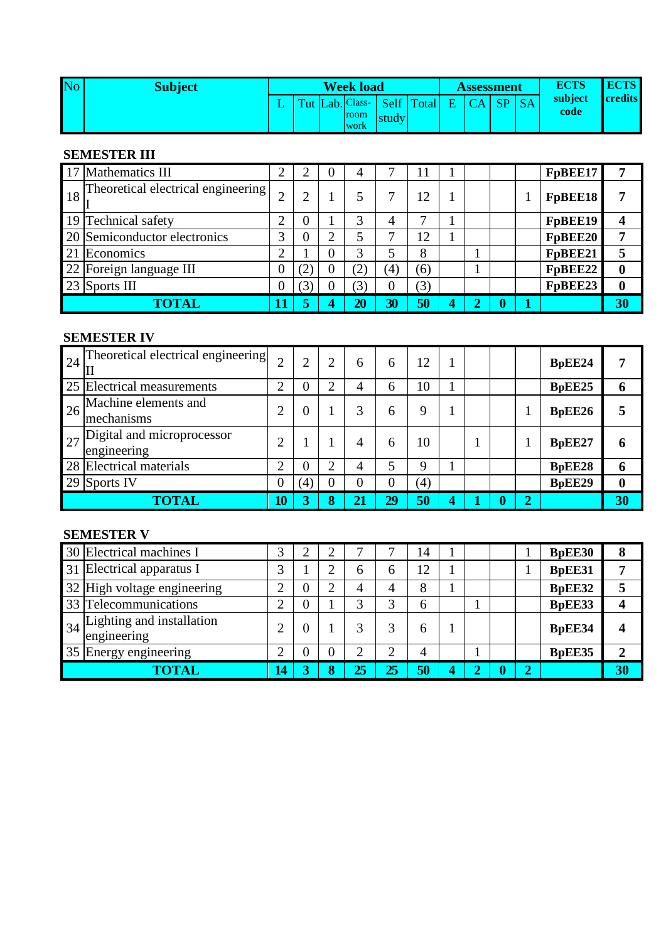| No | <b>Subject</b> |  | <b>Week load</b>    |                               |       |   | <b>Assessment</b> |                 |           | <b>ECTS</b>     | <b>ECTS</b>    |
|----|----------------|--|---------------------|-------------------------------|-------|---|-------------------|-----------------|-----------|-----------------|----------------|
|    |                |  | room<br><b>work</b> | Tut Lab. Class- Self<br>study | Total | E | $\Gamma$ $\Delta$ | SP <sub>1</sub> | <b>SA</b> | subject<br>code | <b>credits</b> |

### **SEMESTER III**

| 17 Mathematics III                               | ി        |                | 4   |     |     |   |  | FpBEE17 |                  |
|--------------------------------------------------|----------|----------------|-----|-----|-----|---|--|---------|------------------|
| $\frac{1}{8}$ Theoretical electrical engineering |          | $\overline{2}$ | 5   |     | 12  |   |  | FpBEE18 |                  |
| 19 Technical safety                              | っ        | 0              | 3   | 4   | ⇁   |   |  | FpBEE19 |                  |
| 20 Semiconductor electronics                     | 3        | 0              | 5   |     | 12  |   |  | FpBEE20 | 7                |
| 21 Economics                                     | ◠        |                | 3   |     | 8   |   |  | FpBEE21 |                  |
| 22 Foreign language III                          | $\theta$ | (2)            | (2) | (4) | (6) |   |  | FpBEE22 | $\bf{0}$         |
| 23 Sports III                                    |          | (3)            | (3) | 0   | (3) |   |  | FpBEE23 | $\boldsymbol{0}$ |
| TOTAL                                            |          |                | 20  | 30  | 50  | 4 |  |         | 30               |

#### **SEMESTER IV**

| $24$ Theoretical electrical engineering<br>Ш             | ⌒              |     | 2 | 6                | 6              | 12  |                         |                  |                | BpEE24 |                  |
|----------------------------------------------------------|----------------|-----|---|------------------|----------------|-----|-------------------------|------------------|----------------|--------|------------------|
| 25 Electrical measurements                               | 2              | O   | ◠ | 4                | 6              | 10  |                         |                  |                | BpEE25 | 6                |
| $\frac{1}{26}$ Machine elements and<br>mechanisms        | 2              | 0   |   | 3                | 6              | 9   |                         |                  |                | BpEE26 |                  |
| $\frac{1}{27}$ Digital and microprocessor<br>engineering | ◠              |     |   | 4                | 6              | 10  |                         |                  |                | BpEE27 | 6                |
| 28 Electrical materials                                  | 2              | 0   | ി | 4                | 5              | 9   |                         |                  |                | BpEE28 | 6                |
| 29 Sports IV                                             | $\overline{0}$ | (4) |   | $\boldsymbol{0}$ | $\overline{0}$ | (4) |                         |                  |                | BpEE29 | $\boldsymbol{0}$ |
| TOTAL                                                    | 10             | 3   | 8 | 21               | 29             | 50  | $\overline{\mathbf{4}}$ | $\boldsymbol{0}$ | $\overline{2}$ |        | 30               |

### **SEMESTER V**

| 30 Electrical machines I                                | 3           |   |   |    | −      | 14 |   |  |                | <b>BpEE30</b> | 8              |
|---------------------------------------------------------|-------------|---|---|----|--------|----|---|--|----------------|---------------|----------------|
| 31 Electrical apparatus I                               | $\mathbf 3$ |   |   | 6  | 6      | 12 |   |  |                | <b>BpEE31</b> | ៗ              |
| 32 High voltage engineering                             | ◠           | 0 |   | 4  | 4      | 8  |   |  |                | BpEE32        |                |
| 33 Telecommunications                                   | ◠           | 0 |   |    |        | 6  |   |  |                | BpEE33        |                |
| $\frac{1}{34}$ Lighting and installation<br>engineering | ◠           | 0 |   |    | 3      | 6  |   |  |                | <b>BpEE34</b> |                |
| 35 Energy engineering                                   | ◠           |   |   | ◠  | ി<br>∠ | 4  |   |  |                | BpEE35        | $\overline{2}$ |
| TOTAL                                                   | 14          |   | 8 | 25 | 25     | 50 | 4 |  | $\overline{2}$ |               | 30             |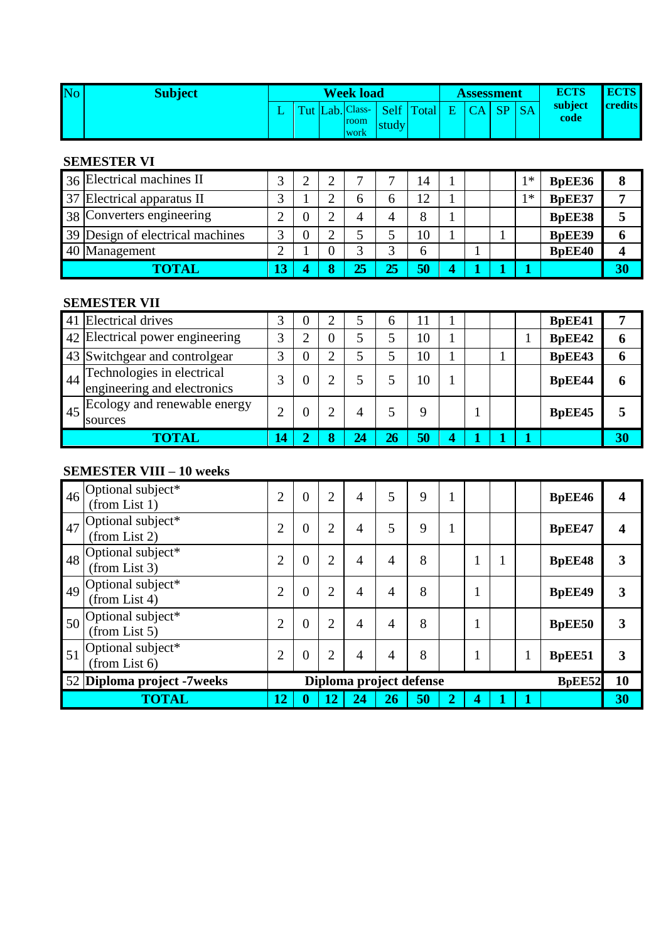| No | <b>Subject</b> |  | <b>Week load</b> |       |                              | Assessment |    |           | <b>ECTS</b>     | <b>ECTS</b>    |
|----|----------------|--|------------------|-------|------------------------------|------------|----|-----------|-----------------|----------------|
|    |                |  |                  |       | Tut Lab. Class- Self Total E | CA         | SP | <b>SA</b> | subject<br>code | <b>credits</b> |
|    |                |  | room             | study |                              |            |    |           |                 |                |
|    |                |  | work             |       |                              |            |    |           |                 |                |

#### **SEMESTER VI**

| 36 Electrical machines II        |                  |  | −  | $\overline{ }$ | 14 |   |  | * | <b>BpEE36</b> | 8  |
|----------------------------------|------------------|--|----|----------------|----|---|--|---|---------------|----|
| 37 Electrical apparatus II       |                  |  | n  | n              | 12 |   |  | * | BpEE37        |    |
| 38 Converters engineering        |                  |  | 4  |                | 8  |   |  |   | <b>BpEE38</b> |    |
| 39 Design of electrical machines |                  |  |    |                | 10 |   |  |   | <b>BpEE39</b> | O  |
| 40 Management                    |                  |  |    | ⌒              | h  |   |  |   | <b>BpEE40</b> |    |
| TOTAL                            | $\overline{13'}$ |  | 25 | 25             | 50 | 4 |  |   |               | 30 |

# **SEMESTER VII**

|    | 41 Electrical drives                                      |                   |  |    | 6  |    |   |  | <b>BpEE41</b> |    |
|----|-----------------------------------------------------------|-------------------|--|----|----|----|---|--|---------------|----|
|    | 42 Electrical power engineering                           | $\mathbf{\Omega}$ |  |    |    | 10 |   |  | BpEE42        | 6  |
|    | 43 Switchgear and controlgear                             | 2                 |  |    |    | 10 |   |  | BpEE43        | 6  |
| 44 | Technologies in electrical<br>engineering and electronics |                   |  |    |    | 10 |   |  | <b>BpEE44</b> | n  |
|    | $\binom{45}{45}$ Ecology and renewable energy<br>sources  |                   |  | 4  |    | q  |   |  | <b>BpEE45</b> |    |
|    | <b>COTAL</b>                                              | 14                |  | 24 | 26 | 50 | 4 |  |               | 30 |

# **SEMESTER VIII – 10 weeks**

| 46 | Optional subject*<br>(from List 1)                | $\overline{2}$ | $\overline{0}$ | $\overline{2}$ | $\overline{4}$ | 5                       | 9  | 1              |              |               | BpEE46              |    |
|----|---------------------------------------------------|----------------|----------------|----------------|----------------|-------------------------|----|----------------|--------------|---------------|---------------------|----|
| 47 | Optional subject*<br>(from List 2)                | $\overline{2}$ | $\overline{0}$ | $\overline{2}$ | $\overline{4}$ | 5                       | 9  | 1              |              |               | BpEE47              |    |
|    | $\frac{1}{48}$ Optional subject*<br>(from List 3) | $\overline{2}$ | $\theta$       | $\overline{2}$ | 4              | 4                       | 8  |                | $\mathbf{1}$ |               | <b>BpEE48</b>       | 3  |
|    | $\frac{1}{49}$ Optional subject*<br>(from List 4) | $\overline{2}$ | $\overline{0}$ | $\overline{2}$ | 4              | 4                       | 8  |                | $\mathbf{1}$ |               | <b>BpEE49</b>       | 3  |
|    | $\frac{1}{50}$ Optional subject*<br>(from List 5) | $\overline{2}$ | $\theta$       | $\overline{2}$ | $\overline{4}$ | 4                       | 8  |                | $\mathbf{1}$ |               | <b>BpEE50</b>       | 3  |
| 51 | Optional subject*<br>(from List 6)                | $\overline{2}$ | $\overline{0}$ | $\overline{2}$ | $\overline{4}$ | $\overline{4}$          | 8  |                | 1            | 1<br>$\bf{I}$ | <b>BpEE51</b>       | 3  |
|    | 52 Diploma project -7weeks                        |                |                |                |                | Diploma project defense |    |                |              |               | B <sub>p</sub> EE52 | 10 |
|    | <b>TOTAL</b>                                      | 12             | v              | 12             | 24             | 26                      | 50 | $\overline{2}$ | 4            | 1             |                     | 30 |